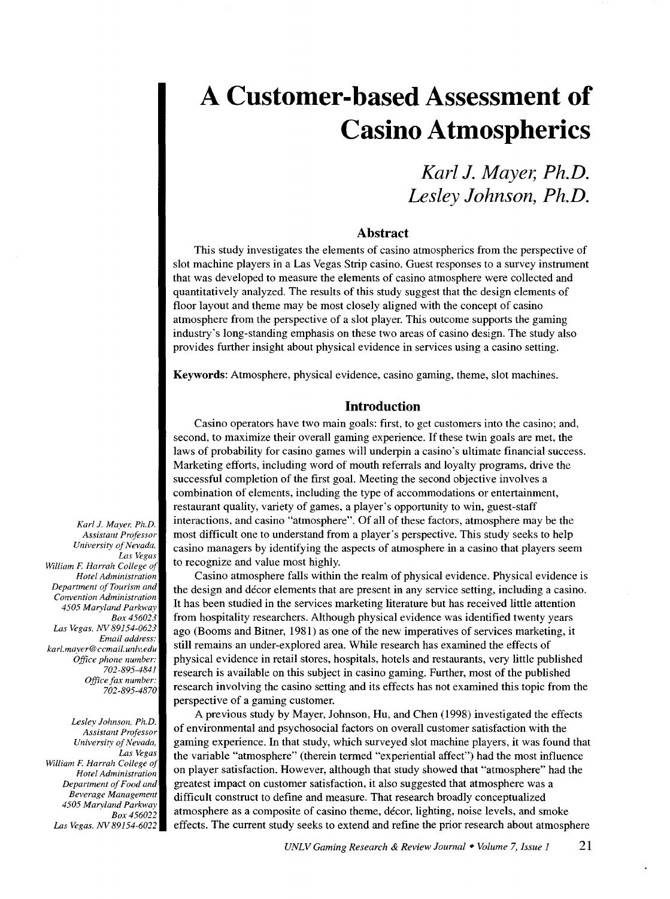*Karl* **J.** *Mayer, Ph.D. Lesley Johnson, Ph.D.* 

# **Abstract**

This study investigates the elements of casino atmospherics from the perspective of slot machine players in a Las Vegas Strip casino. Guest responses to a survey instrument that was developed to measure the elements of casino atmosphere were collected and quantitatively analyzed. The results of this study suggest that the design elements of floor layout and theme may be most closely aligned with the concept of casino atmosphere from the perspective of a slot player. This outcome supports the gaming industry's long-standing emphasis on these two areas of casino design. The study also provides further insight about physical evidence in services using a casino setting.

Keywords: Atmosphere, physical evidence, casino gaming, theme, slot machines.

#### **Introduction**

Casino operators have two main goals: first, to get customers into the casino; and, second, to maximize their overall gaming experience. If these twin goals are met, the laws of probability for casino games will underpin a casino's ultimate financial success. Marketing efforts, including word of mouth referrals and loyalty programs, drive the successful completion of the first goal. Meeting the second objective involves a combination of elements, including the type of accommodations or entertainment, restaurant quality, variety of games, a player's opportunity to win, guest-staff interactions, and casino "atmosphere". Of all of these factors, atmosphere may be the most difficult one to understand from a player's perspective. This study seeks to help casino managers by identifying the aspects of atmosphere in a casino that players seem to recognize and value most highly.

Casino atmosphere falls within the realm of physical evidence. Physical evidence is the design and decor elements that are present in any service setting, including a casino. It has been studied in the services marketing literature but has received little attention from hospitality researchers. Although physical evidence was identified twenty years ago (Booms and Bitner, 1981) as one of the new imperatives of services marketing, it still remains an under-explored area. While research has examined the effects of physical evidence in retail stores, hospitals, hotels and restaurants, very little published research is available on this subject in casino gaming. Further, most of the published research involving the casino setting and its effects has not examined this topic from the perspective of a gaming customer.

A previous study by Mayer, Johnson, Hu, and Chen (1998) investigated the effects of environmental and psychosocial factors on overall customer satisfaction with the gaming experience. In that study, which surveyed slot machine players, it was found that the variable "atmosphere" (therein termed "experiential affect") had the most influence on player satisfaction. However, although that study showed that "atmosphere" had the greatest impact on customer satisfaction, it also suggested that atmosphere was a difficult construct to define and measure. That research broadly conceptualized atmosphere as a composite of casino theme, decor, lighting, noise levels, and smoke effects. The current study seeks to extend and refine the prior research about atmosphere

*Karl J. Mayer, Ph.D. Assistant Professor University of Nevada. Las Vegas William* F. *Harrah College of Hotel Administration Department of Tourism and Convention Administration 4505 Maryland Parkway Box456023 Las Vegas. NV 89154-0623 Email address: karl.mayer@ccmail.unlv.edu Office phone number: 702-895-4841 Office fax number: 702-895-4870* 

*Lesley Johnson. Ph.D. Assistant Professor University of Nevada. Las Vegas William* F. *Harrah College of Hotel Administration Department of Food and Beverage Management 4505 Maryland Parkway Box456022 Las Vegas. NV 89154-6022*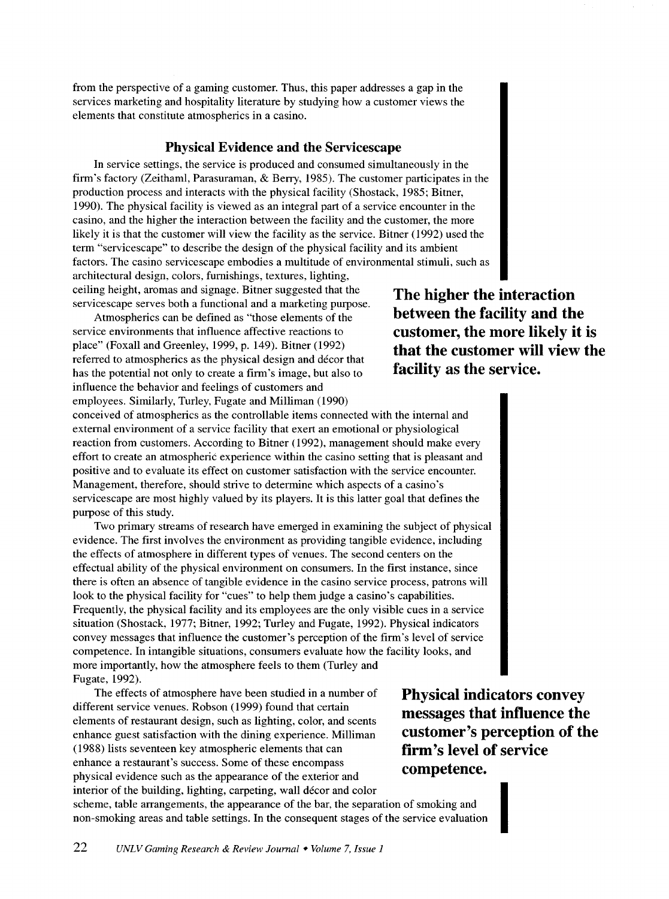from the perspective of a gaming customer. Thus, this paper addresses a gap in the services marketing and hospitality literature by studying how a customer views the elements that constitute atmospherics in a casino.

# **Physical Evidence and the Servicescape**

In service settings, the service is produced and consumed simultaneously in the firm's factory (Zeithaml, Parasuraman, & Berry, 1985). The customer participates in the production process and interacts with the physical facility (Shostack, 1985; Bitner, 1990). The physical facility is viewed as an integral part of a service encounter in the casino, and the higher the interaction between the facility and the customer, the more likely it is that the customer will view the facility as the service. Bitner (1992) used the term "servicescape" to describe the design of the physical facility and its ambient factors. The casino servicescape embodies a multitude of environmental stimuli, such as architectural design, colors, furnishings, textures, lighting,

ceiling height, aromas and signage. Bitner suggested that the servicescape serves both a functional and a marketing purpose.

Atmospherics can be defined as "those elements of the service environments that influence affective reactions to place" (Foxall and Greenley, 1999, p. 149). Bitner (1992) referred to atmospherics as the physical design and decor that has the potential not only to create a firm's image, but also to influence the behavior and feelings of customers and employees. Similarly, Turley, Fugate and Milliman ( 1990)

**The higher the interaction between the facility and the customer, the more likely it is that the customer will view the facility as the service.** 

conceived of atmospherics as the controllable items connected with the internal and external environment of a service facility that exert an emotional or physiological reaction from customers. According to Bitner ( 1992), management should make every effort to create an atmospheric experience within the casino setting that is pleasant and positive and to evaluate its effect on customer satisfaction with the service encounter. Management, therefore, should strive to determine which aspects of a casino's servicescape are most highly valued by its players. It is this latter goal that defines the purpose of this study.

Two primary streams of research have emerged in examining the subject of physical evidence. The first involves the environment as providing tangible evidence, including the effects of atmosphere in different types of venues. The second centers on the effectual ability of the physical environment on consumers. In the first instance, since there is often an absence of tangible evidence in the casino service process, patrons will look to the physical facility for "cues" to help them judge a casino's capabilities. Frequently, the physical facility and its employees are the only visible cues in a service situation (Shostack, 1977; Bitner, 1992; Turley and Fugate, 1992). Physical indicators convey messages that influence the customer's perception of the firm's level of service competence. In intangible situations, consumers evaluate how the facility looks, and more importantly, how the atmosphere feels to them (Turley and Fugate, 1992).

The effects of atmosphere have been studied in a number of different service venues. Robson ( 1999) found that certain elements of restaurant design, such as lighting, color, and scents enhance guest satisfaction with the dining experience. Milliman (1988) lists seventeen key atmospheric elements that can enhance a restaurant's success. Some of these encompass physical evidence such as the appearance of the exterior and interior of the building, lighting, carpeting, wall décor and color

**Physical indicators convey messages that influence the customer's perception of the firm's level of service competence.** 

I

scheme, table arrangements, the appearance of the bar, the separation of smoking and non-smoking areas and table settings. In the consequent stages of the service evaluation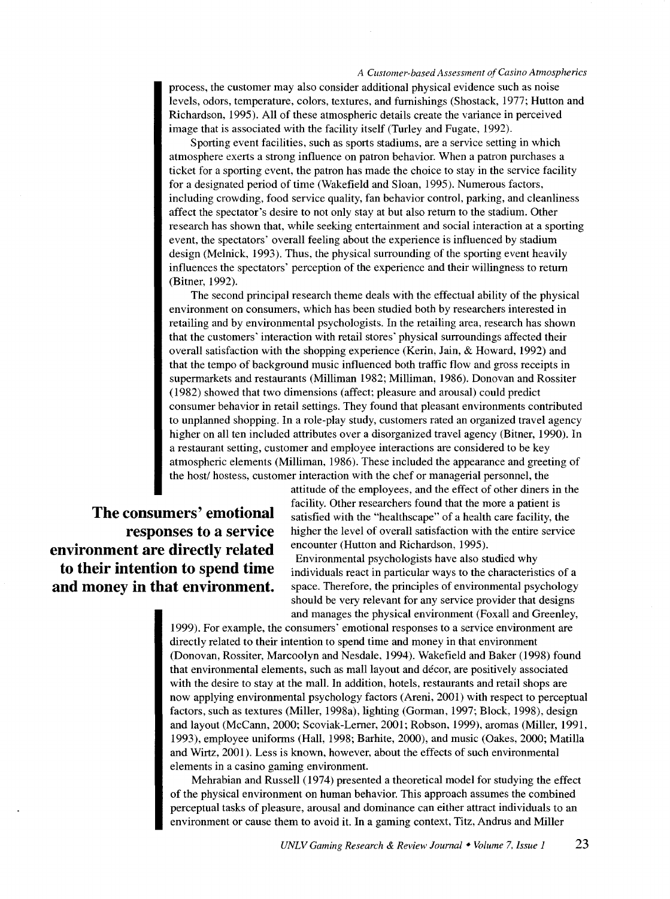process, the customer may also consider additional physical evidence such as noise levels, odors, temperature, colors, textures, and furnishings (Shostack, 1977; Hutton and Richardson, 1995). All of these atmospheric details create the variance in perceived image that is associated with the facility itself (Turley and Fugate, 1992).

Sporting event facilities, such as sports stadiums, are a service setting in which atmosphere exerts a strong influence on patron behavior. When a patron purchases a ticket for a sporting event, the patron has made the choice to stay in the service facility for a designated period of time (Wakefield and Sloan, 1995). Numerous factors, including crowding, food service quality, fan behavior control, parking, and cleanliness affect the spectator's desire to not only stay at but also return to the stadium. Other research has shown that, while seeking entertainment and social interaction at a sporting event, the spectators' overall feeling about the experience is influenced by stadium design (Melnick, 1993). Thus, the physical surrounding of the sporting event heavily influences the spectators' perception of the experience and their willingness to return (Bitner, 1992).

The second principal research theme deals with the effectual ability of the physical environment on consumers, which has been studied both by researchers interested in retailing and by environmental psychologists. In the retailing area, research has shown that the customers' interaction with retail stores' physical surroundings affected their overall satisfaction with the shopping experience (Kerin, Jain, & Howard, 1992) and that the tempo of background music influenced both traffic flow and gross receipts in supermarkets and restaurants (Milliman 1982; Milliman, 1986). Donovan and Rossiter (1982) showed that two dimensions (affect; pleasure and arousal) could predict consumer behavior in retail settings. They found that pleasant environments contributed to unplanned shopping. In a role-play study, customers rated an organized travel agency higher on all ten included attributes over a disorganized travel agency (Bitner, 1990). In a restaurant setting, customer and employee interactions are considered to be key atmospheric elements (Milliman, 1986). These included the appearance and greeting of the host/ hostess, customer interaction with the chef or managerial personnel, the

**responses to a service environment are directly related to their intention to spend time and money in that environment.** 

attitude of the employees, and the effect of other diners in the facility. Other researchers found that the more a patient is **The consumers' emotional** satisfied with the "healthscape" of a health care facility, the higher the level of overall satisfaction with the entire service encounter (Hutton and Richardson, 1995).

> Environmental psychologists have also studied why individuals react in particular ways to the characteristics of a space. Therefore, the principles of environmental psychology should be very relevant for any service provider that designs and manages the physical environment (Foxall and Greenley,

1999). For example, the consumers' emotional responses to a service environment are directly related to their intention to spend time and money in that environment (Donovan, Rossiter, Marcoolyn and Nesdale, 1994). Wakefield and Baker (1998) found that environmental elements, such as mall layout and décor, are positively associated with the desire to stay at the mall. In addition, hotels, restaurants and retail shops are now applying environmental psychology factors (Areni, 2001) with respect to perceptual factors, such as textures (Miller, 1998a), lighting (Gorman, 1997; Block, 1998), design and layout (McCann, 2000; Scoviak-Lerner, 2001; Robson, 1999), aromas (Miller, 1991, 1993), employee uniforms (Hall, 1998; Barhite, 2000), and music (Oakes, 2000; Marilla and Wirtz, 2001). Less is known, however, about the effects of such environmental elements in a casino gaming environment.

Mehrabian and Russell (1974) presented a theoretical model for studying the effect of the physical environment on human behavior. This approach assumes the combined perceptual tasks of pleasure, arousal and dominance can either attract individuals to an environment or cause them to avoid it. In a gaming context, Titz, Andrus and Miller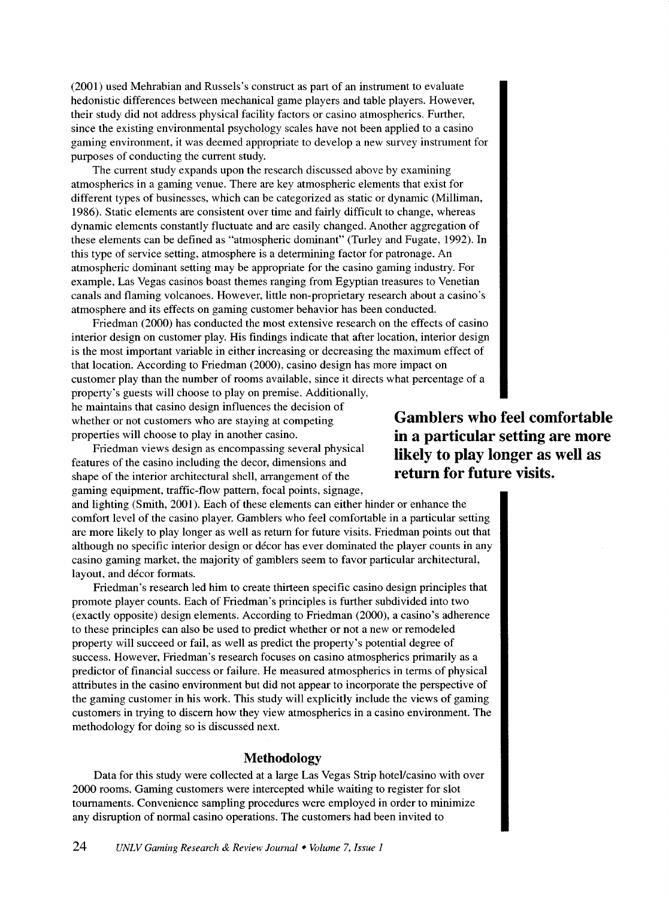(2001) used Mehrabian and Russels's construct as part of an instrument to evaluate hedonistic differences between mechanical game players and table players. However, their study did not address physical facility factors or casino atmospherics. Further, since the existing environmental psychology scales have not been applied to a casino gaming environment, it was deemed appropriate to develop a new survey instrument for purposes of conducting the current study.

The current study expands upon the research discussed above by examining atmospherics in a gaming venue. There are key atmospheric elements that exist for different types of businesses, which can be categorized as static or dynamic (Milliman, 1986). Static elements are consistent over time and fairly difficult to change, whereas dynamic elements constantly fluctuate and are easily changed. Another aggregation of these elements can be defined as "atmospheric dominant" (Turley and Fugate, 1992). In this type of service setting, atmosphere is a determining factor for patronage. An atmospheric dominant setting may be appropriate for the casino gaming industry. For example, Las Vegas casinos boast themes ranging from Egyptian treasures to Venetian canals and flaming volcanoes. However, little non-proprietary research about a casino's atmosphere and its effects on gaming customer behavior has been conducted.

Friedman (2000) has conducted the most extensive research on the effects of casino interior design on customer play. His findings indicate that after location, interior design is the most important variable in either increasing or decreasing the maximum effect of that location. According to Friedman (2000), casino design has more impact on customer play than the number of rooms available, since it directs what percentage of a property's guests will choose to play on premise. Additionally, he maintains that casino design influences the decision of

whether or not customers who are staying at competing properties will choose to play in another casino.

Friedman views design as encompassing several physical features of the casino including the decor, dimensions and shape of the interior architectural shell, arrangement of the gaming equipment, traffic-flow pattern, focal points, signage,

and lighting (Smith, 2001). Each of these elements can either hinder or enhance the comfort level of the casino player. Gamblers who feel comfortable in a particular setting are more likely to play longer as well as return for future visits. Friedman points out that although no specific interior design or decor has ever dominated the player counts in any casino gaming market, the majority of gamblers seem to favor particular architectural, layout, and décor formats.

Friedman's research led him to create thirteen specific casino design principles that promote player counts. Each of Friedman's principles is further subdivided into two (exactly opposite) design elements. According to Friedman (2000), a casino's adherence to these principles can also be used to predict whether or not a new or remodeled property will succeed or fail, as well as predict the property's potential degree of success. However, Friedman's research focuses on casino atmospherics primarily as a predictor of financial success or failure. He measured atmospherics in terms of physical attributes in the casino environment but did not appear to incorporate the perspective of the gaming customer in his work. This study will explicitly include the views of gaming customers in trying to discern how they view atmospherics in a casino environment. The methodology for doing so is discussed next.

# **Methodology**

Data for this study were collected at a large Las Vegas Strip hotel/casino with over 2000 rooms. Gaming customers were intercepted while waiting to register for slot tournaments. Convenience sampling procedures were employed in order to minimize any disruption of normal casino operations. The customers had been invited to

**Gamblers who feel comfortable in a particular setting are more likely to play longer as well as return for future visits.**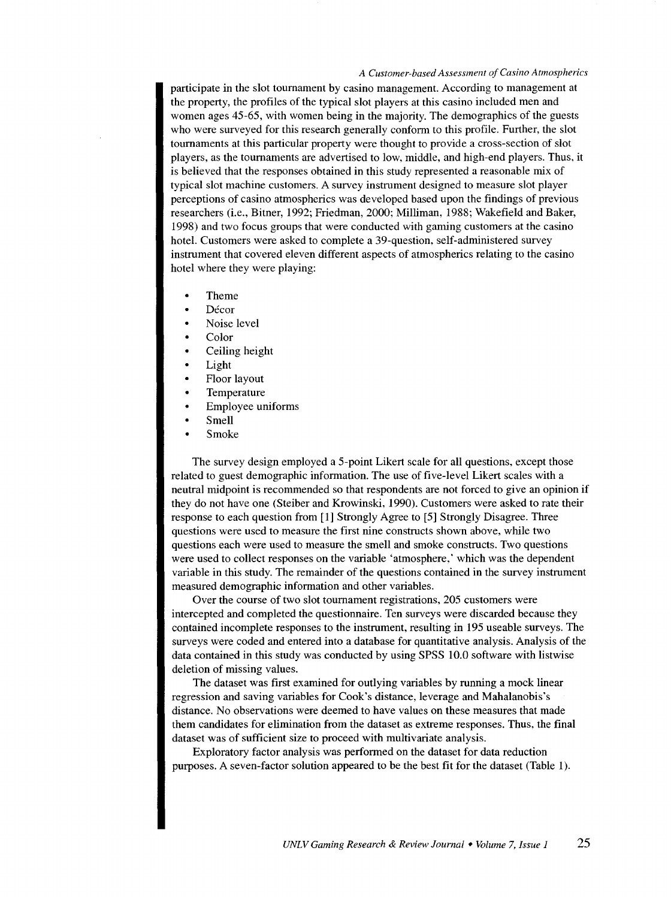participate in the slot tournament by casino management. According to management at the property, the profiles of the typical slot players at this casino included men and women ages 45-65, with women being in the majority. The demographics of the guests who were surveyed for this research generally conform to this profile. Further, the slot tournaments at this particular property were thought to provide a cross-section of slot players, as the tournaments are advertised to low, middle, and high-end players. Thus, it is believed that the responses obtained in this study represented a reasonable mix of typical slot machine customers. A survey instrument designed to measure slot player perceptions of casino atmospherics was developed based upon the findings of previous researchers (i.e., Bitner, 1992; Friedman, 2000; Milliman, 1988; Wakefield and Baker, 1998) and two focus groups that were conducted with gaming customers at the casino hotel. Customers were asked to complete a 39-question, self-administered survey instrument that covered eleven different aspects of atmospherics relating to the casino hotel where they were playing:

- Theme
- Décor
- Noise level
- Color
- Ceiling height
- Light
- Floor layout
- Temperature
- Employee uniforms
- Smell
- Smoke

The survey design employed a 5-point Likert scale for all questions, except those related to guest demographic information. The use of five-level Likert scales with a neutral midpoint is recommended so that respondents are not forced to give an opinion if they do not have one (Steiber and Krowinski, 1990). Customers were asked to rate their response to each question from [1] Strongly Agree to [5] Strongly Disagree. Three questions were used to measure the first nine constructs shown above, while two questions each were used to measure the smell and smoke constructs. Two questions were used to collect responses on the variable 'atmosphere,' which was the dependent variable in this study. The remainder of the questions contained in the survey instrument measured demographic information and other variables.

Over the course of two slot tournament registrations, 205 customers were intercepted and completed the questionnaire. Ten surveys were discarded because they contained incomplete responses to the instrument, resulting in 195 useable surveys. The surveys were coded and entered into a database for quantitative analysis. Analysis of the data contained in this study was conducted by using SPSS 10.0 software with listwise deletion of missing values.

The dataset was first examined for outlying variables by running a mock linear regression and saving variables for Cook's distance, leverage and Mahalanobis's distance. No observations were deemed to have values on these measures that made them candidates for elimination from the dataset as extreme responses. Thus, the final dataset was of sufficient size to proceed with multivariate analysis.

Exploratory factor analysis was performed on the dataset for data reduction purposes. A seven-factor solution appeared to be the best fit for the dataset (Table 1).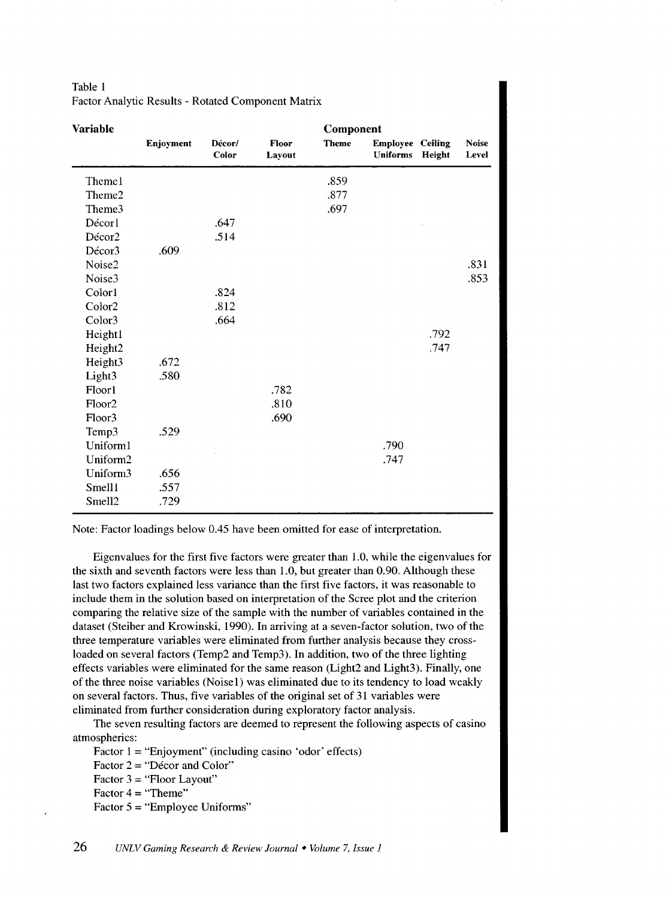| <b>Variable</b>    |           |                 |                 | Component    |                                            |        |                       |
|--------------------|-----------|-----------------|-----------------|--------------|--------------------------------------------|--------|-----------------------|
|                    | Enjoyment | Décor/<br>Color | Floor<br>Layout | <b>Theme</b> | <b>Employee Ceiling</b><br><b>Uniforms</b> | Height | <b>Noise</b><br>Level |
| Themel             |           |                 |                 | .859         |                                            |        |                       |
| Theme2             |           |                 |                 | .877         |                                            |        |                       |
| Theme3             |           |                 |                 | .697         |                                            |        |                       |
| Décorl             |           | .647            |                 |              |                                            |        |                       |
| Décor2             |           | .514            |                 |              |                                            |        |                       |
| Décor3             | .609      |                 |                 |              |                                            |        |                       |
| Noise2             |           |                 |                 |              |                                            |        | .831                  |
| Noise3             |           |                 |                 |              |                                            |        | .853                  |
| Color1             |           | .824            |                 |              |                                            |        |                       |
| Color2             |           | .812            |                 |              |                                            |        |                       |
| Color3             |           | .664            |                 |              |                                            |        |                       |
| Heightl            |           |                 |                 |              |                                            | .792   |                       |
| Height2            |           |                 |                 |              |                                            | .747   |                       |
| Height3            | .672      |                 |                 |              |                                            |        |                       |
| Light3             | .580      |                 |                 |              |                                            |        |                       |
| Floorl             |           |                 | .782            |              |                                            |        |                       |
| Floor <sub>2</sub> |           |                 | .810            |              |                                            |        |                       |
| Floor3             |           |                 | .690            |              |                                            |        |                       |
| Temp3              | .529      |                 |                 |              |                                            |        |                       |
| Uniform1           |           |                 |                 |              | .790                                       |        |                       |
| Uniform2           |           |                 |                 |              | .747                                       |        |                       |
| Uniform3           | .656      |                 |                 |              |                                            |        |                       |
| Smell1             | .557      |                 |                 |              |                                            |        |                       |
| Smell <sub>2</sub> | .729      |                 |                 |              |                                            |        |                       |

Table 1 Factor Analytic Results - Rotated Component Matrix

Note: Factor loadings below 0.45 have been omitted for ease of interpretation.

Eigenvalues for the first five factors were greater than 1.0, while the eigenvalues for the sixth and seventh factors were less than 1.0, but greater than 0.90. Although these last two factors explained less variance than the first five factors, it was reasonable to include them in the solution based on interpretation of the Scree plot and the criterion comparing the relative size of the sample with the number of variables contained in the dataset (Steiber and Krowinski, 1990). In arriving at a seven-factor solution, two of the three temperature variables were eliminated from further analysis because they crossloaded on several factors (Temp2 and Temp3). In addition, two of the three lighting effects variables were eliminated for the same reason (Light2 and Light3). Finally, one of the three noise variables (Noise1) was eliminated due to its tendency to load weakly on several factors. Thus, five variables of the original set of 31 variables were eliminated from further consideration during exploratory factor analysis.

The seven resulting factors are deemed to represent the following aspects of casino atmospherics:

Factor  $1 = "Enjoyment" (including casino 'odor' effects)$ 

Factor  $2 =$  "Décor and Color"

Factor  $3 =$  "Floor Layout"

Factor  $4 = "Then"$ 

Factor  $5 =$  "Employee Uniforms"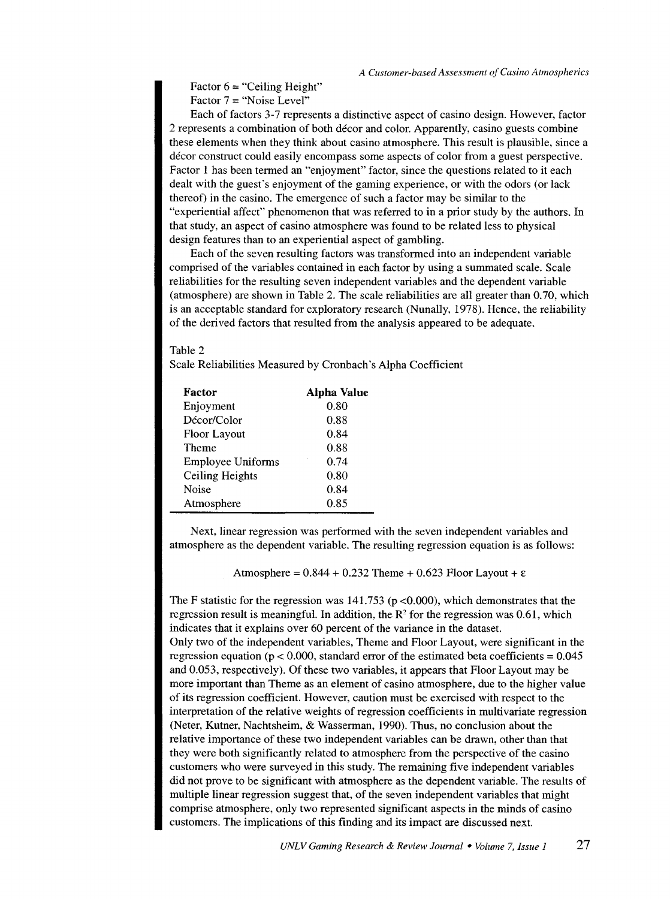Factor  $6 =$  "Ceiling Height" Factor  $7 =$  "Noise Level"

Each of factors 3-7 represents a distinctive aspect of casino design. However, factor 2 represents a combination of both decor and color. Apparently, casino guests combine these elements when they think about casino atmosphere. This result is plausible, since a decor construct could easily encompass some aspects of color from a guest perspective. Factor 1 has been termed an "enjoyment" factor, since the questions related to it each dealt with the guest's enjoyment of the gaming experience, or with the odors (or lack thereof) in the casino. The emergence of such a factor may be similar to the "experiential affect" phenomenon that was referred to in a prior study by the authors. In that study, an aspect of casino atmosphere was found to be related less to physical design features than to an experiential aspect of gambling.

Each of the seven resulting factors was transformed into an independent variable comprised of the variables contained in each factor by using a summated scale. Scale reliabilities for the resulting seven independent variables and the dependent variable (atmosphere) are shown in Table 2. The scale reliabilities are all greater than 0.70, which is an acceptable standard for exploratory research (Nunally, 1978). Hence, the reliability of the derived factors that resulted from the analysis appeared to be adequate.

### Table 2

Scale Reliabilities Measured by Cronbach 's Alpha Coefficient

| Factor                   | Alpha Value |  |  |  |
|--------------------------|-------------|--|--|--|
| Enjoyment                | 0.80        |  |  |  |
| Décor/Color              | 0.88        |  |  |  |
| <b>Floor Layout</b>      | 0.84        |  |  |  |
| <b>Theme</b>             | 0.88        |  |  |  |
| <b>Employee Uniforms</b> | 0.74        |  |  |  |
| <b>Ceiling Heights</b>   | 0.80        |  |  |  |
| Noise                    | 0.84        |  |  |  |
| Atmosphere               | 0.85        |  |  |  |

Next, linear regression was performed with the seven independent variables and atmosphere as the dependent variable. The resulting regression equation is as follows:

Atmosphere =  $0.844 + 0.232$  Theme + 0.623 Floor Layout +  $\varepsilon$ 

The F statistic for the regression was  $141.753$  (p <0.000), which demonstrates that the regression result is meaningful. In addition, the  $R<sup>2</sup>$  for the regression was 0.61, which indicates that it explains over 60 percent of the variance in the dataset. Only two of the independent variables, Theme and Floor Layout, were significant in the regression equation ( $p < 0.000$ , standard error of the estimated beta coefficients =  $0.045$ and 0.053, respectively). Of these two variables, it appears that Floor Layout may be more important than Theme as an element of casino atmosphere, due to the higher value of its regression coefficient. However, caution must be exercised with respect to the interpretation of the relative weights of regression coefficients in multivariate regression (Neter, Kutner, Nachtsheim, & Wasserman, 1990). Thus, no conclusion about the relative importance of these two independent variables can be drawn, other than that they were both significantly related to atmosphere from the perspective of the casino customers who were surveyed in this study. The remaining five independent variables did not prove to be significant with atmosphere as the dependent variable. The results of multiple linear regression suggest that, of the seven independent variables that might comprise atmosphere, only two represented significant aspects in the minds of casino customers. The implications of this finding and its impact are discussed next.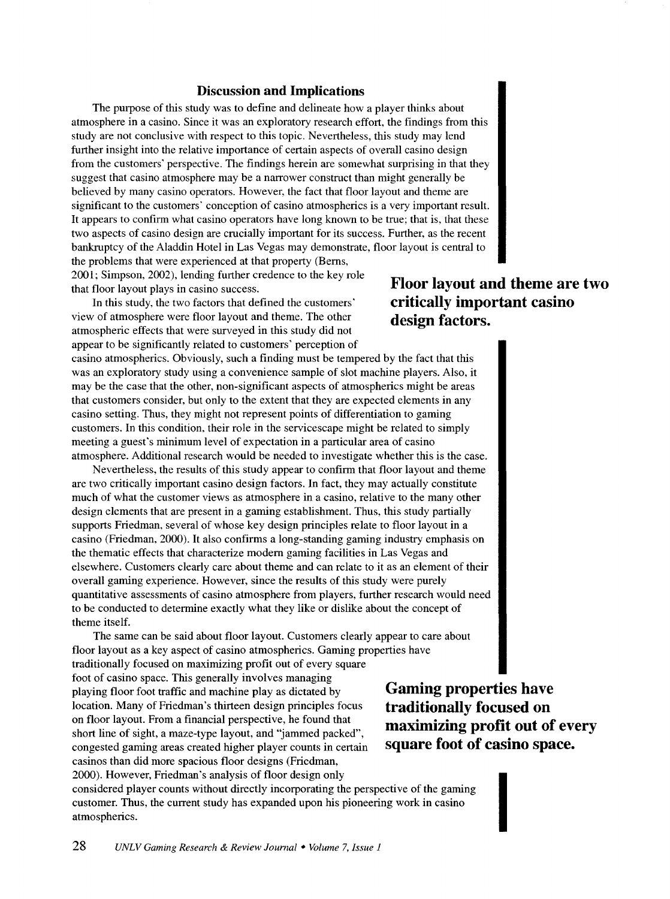# **Discussion and Implications**

The purpose of this study was to define and delineate how a player thinks about atmosphere in a casino. Since it was an exploratory research effort, the findings from this study are not conclusive with respect to this topic. Nevertheless, this study may lend further insight into the relative importance of certain aspects of overall casino design from the customers' perspective. The findings herein are somewhat surprising in that they suggest that casino atmosphere may be a narrower construct than might generally be believed by many casino operators. However, the fact that floor layout and theme are significant to the customers' conception of casino atmospherics is a very important result. It appears to confirm what casino operators have long known to be true; that is, that these two aspects of casino design are crucially important for its success. Further, as the recent bankruptcy of the Aladdin Hotel in Las Vegas may demonstrate, floor layout is central to the problems that were experienced at that property (Berns,

2001; Simpson, 2002), lending further credence to the key role that floor layout plays in casino success.

In this study, the two factors that defined the customers' view of atmosphere were floor layout and theme. The other atmospheric effects that were surveyed in this study did not appear to be significantly related to customers' perception of

casino atmospherics. Obviously, such a finding must be tempered by the fact that this was an exploratory study using a convenience sample of slot machine players. Also, it may be the case that the other, non-significant aspects of atmospherics might be areas that customers consider, but only to the extent that they are expected elements in any casino setting. Thus, they might not represent points of differentiation to gaming customers. In this condition, their role in the servicescape might be related to simply meeting a guest's minimum level of expectation in a particular area of casino atmosphere. Additional research would be needed to investigate whether this is the case.

Nevertheless, the results of this study appear to confirm that floor layout and theme are two critically important casino design factors. In fact, they may actually constitute much of what the customer views as atmosphere in a casino, relative to the many other design elements that are present in a gaming establishment. Thus, this study partially supports Friedman, several of whose key design principles relate to floor layout in a casino (Friedman, 2000). It also confirms a long-standing gaming industry emphasis on the thematic effects that characterize modem gaming facilities in Las Vegas and elsewhere. Customers clearly care about theme and can relate to it as an element of their overall gaming experience. However, since the results of this study were purely quantitative assessments of casino atmosphere from players, further research would need to be conducted to determine exactly what they like or dislike about the concept of theme itself.

The same can be said about floor layout. Customers clearly appear to care about floor layout as a key aspect of casino atmospherics. Gaming properties have traditionally focused on maximizing profit out of every square foot of casino space. This generally involves managing playing floor foot traffic and machine play as dictated by location. Many of Friedman's thirteen design principles focus on floor layout. From a financial perspective, he found that short line of sight, a maze-type layout, and "jammed packed", congested gaming areas created higher player counts in certain casinos than did more spacious floor designs (Friedman,

**Gaming properties have traditionally focused on maximizing profit out of every square foot of casino space.** 

I

considered player counts without directly incorporating the perspective of the gaming customer. Thus, the current study has expanded upon his pioneering work in casino atmospherics.

# **Floor layout and theme are two critically important casino design factors.**

2000). However, Friedman's analysis of floor design only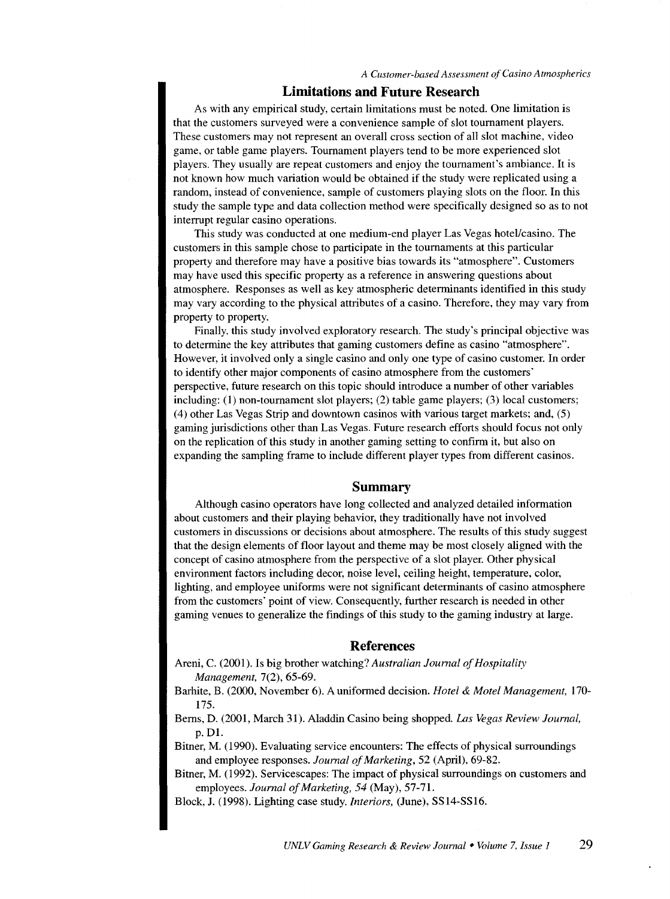#### **Limitations and Future Research**

As with any empirical study, certain limitations must be noted. One limitation is that the customers surveyed were a convenience sample of slot tournament players. These customers may not represent an overall cross section of all slot machine, video game, or table game players. Tournament players tend to be more experienced slot players. They usually are repeat customers and enjoy the tournament's ambiance. It is not known how much variation would be obtained if the study were replicated using a random, instead of convenience, sample of customers playing slots on the floor. In this study the sample type and data collection method were specifically designed so as to not interrupt regular casino operations.

This study was conducted at one medium-end player Las Vegas hotel/casino. The customers in this sample chose to participate in the tournaments at this particular property and therefore may have a positive bias towards its "atmosphere". Customers may have used this specific property as a reference in answering questions about atmosphere. Responses as well as key atmospheric determinants identified in this study may vary according to the physical attributes of a casino. Therefore, they may vary from property to property.

Finally, this study involved exploratory research. The study's principal objective was to determine the key attributes that gaming customers define as casino "atmosphere". However, it involved only a single casino and only one type of casino customer. In order to identify other major components of casino atmosphere from the customers' perspective, future research on this topic should introduce a number of other variables including: (1) non-tournament slot players; (2) table game players; (3) local customers; (4) other Las Vegas Strip and downtown casinos with various target markets; and, (5) gaming jurisdictions other than Las Vegas. Future research efforts should focus not only on the replication of this study in another gaming setting to confirm it, but also on expanding the sampling frame to include different player types from different casinos.

#### **Summary**

Although casino operators have long collected and analyzed detailed information about customers and their playing behavior, they traditionally have not involved customers in discussions or decisions about atmosphere. The results of this study suggest that the design elements of floor layout and theme may be most closely aligned with the concept of casino atmosphere from the perspective of a slot player. Other physical environment factors including decor, noise level, ceiling height, temperature, color, lighting, and employee uniforms were not significant determinants of casino atmosphere from the customers' point of view. Consequently, further research is needed in other gaming venues to generalize the findings of this study to the gaming industry at large.

#### **References**

Areni, C. (2001). Is big brother watching? *Australian Journal of Hospitality Management,* 7(2), 65-69.

Barhite, B. (2000, November 6). A uniformed decision. *Hotel* & *Motel Management,* 170- 175.

Berns, D. (2001, March 31). Aladdin Casino being shopped. *Las Vegas Review Journal,*  p. Dl.

Bitner, M. (1990). Evaluating service encounters: The effects of physical surroundings and employee responses. *Journal of Marketing,* 52 (April), 69-82.

Bitner, M. (1992). Servicescapes: The impact of physical surroundings on customers and employees. *Journal of Marketing, 54* (May), 57-71.

Block, J. (1998). Lighting case study. *Interiors,* (June), SS14-SS16.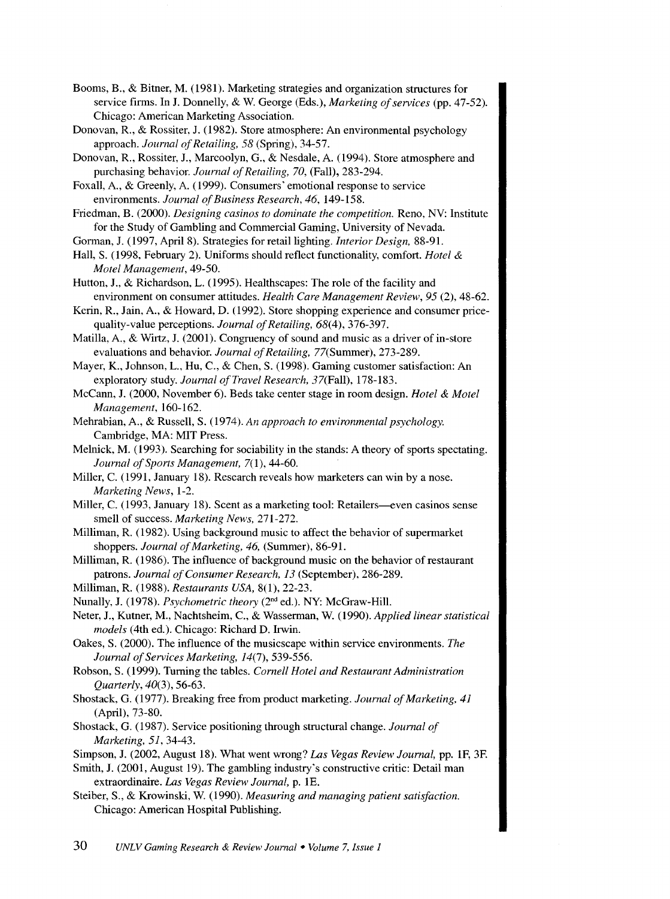- Booms, B., & Bitner, M. (I98I). Marketing strategies and organization structures for service firms. In J. Donnelly, & W. George (Eds.), *Marketing of services* (pp. 47-52). Chicago: American Marketing Association.
- Donovan, R., & Rossiter, J. (1982). Store atmosphere: An environmental psychology approach. *Journal of Retailing, 58* (Spring), 34-57.
- Donovan, R., Rossiter, J., Marcoolyn, G., & Nesdale, A. (1994). Store atmosphere and purchasing behavior. *Journal of Retailing, 70,* (Fall), 283-294.
- Foxall, A., & Greenly, A. (1999). Consumers' emotional response to service environments. *Journal of Business Research, 46,* 149-I58.
- Friedman, B. (2000). *Designing casinos to dominate the competition.* Reno, NV: Institute for the Study of Gambling and Commercial Gaming, University of Nevada.
- Gorman, J. (1997, April8). Strategies for retail lighting. *Interior Design,* 88-91.
- Hall, S. ( 1998, February 2). Uniforms should reflect functionality, comfort. *Hotel* & *Motel Management,* 49-50.
- Hutton, J., & Richardson, L. (1995). Healthscapes: The role of the facility and environment on consumer attitudes. *Health Care Management Review, 95* (2), 48-62.
- Kerin, R., Jain, A., & Howard, D. (1992). Store shopping experience and consumer pricequality-value perceptions. *Journal of Retailing,* 68(4), 376-397.
- Matilla, A., & Wirtz, J. (2001). Congruency of sound and music as a driver of in-store evaluations and behavior. *Journal of Retailing,* 77(Summer), 273-289.
- Mayer, K., Johnson, L., Hu, C., & Chen, S. (1998). Gaming customer satisfaction: An exploratory study. *Journal of Travel Research,* 37(Fall), 178-I83.
- McCann, J. (2000, November 6). Beds take center stage in room design. *Hotel* & *Motel Management,* 160-162.
- Mehrabian, A., & Russell, S. (I974). *An approach to environmental psychology.*  Cambridge, MA: MIT Press.
- Melnick, M. (1993). Searching for sociability in the stands: A theory of sports spectating. Journal of Sports Management, 7(1), 44-60.
- Miller, C. (1991, January 18). Research reveals how marketers can win by a nose. *Marketing News,* 1-2.
- Miller, C. (1993, January 18). Scent as a marketing tool: Retailers—even casinos sense smell of success. *Marketing News,* 271-272.
- Milliman, R. (1982). Using background music to affect the behavior of supermarket shoppers. *Journal of Marketing, 46,* (Summer), 86-91.
- Milliman, R. (I986). The influence of background music on the behavior of restaurant patrons. *Journal of Consumer Research, 13* (September), 286-289.
- Milliman, R. (1988). *Restaurants USA,* 8(1), 22-23.
- Nunally, J. (I978). *Psychometric theory* (2"d ed.). NY: McGraw-Hill.
- Neter, J., Kutner, M., Nachtsheim, C., & Wasserman, W. (I990). *Applied linear statistical models* (4th ed.). Chicago: Richard D. Irwin.
- Oakes, S. (2000). The influence of the musicscape within service environments. *The Journal of Services Marketing,* 14(7), 539-556.
- Robson, S. (I999). Turning the tables. *Cornell Hotel and Restaurant Administration Quarterly,* 40(3), 56-63.
- Shostack, G. (1977). Breaking free from product marketing. *Journal of Marketing, 41*  (April), 73-80.
- Shostack, G. (I987). Service positioning through structural change. *Journal of Marketing, 51,* 34-43.
- Simpson, J. (2002, August I8). What went wrong? *Las Vegas Review Journal,* pp. IF, 3F.
- Smith, J. (200I, August 19). The gambling industry's constructive critic: Detail man extraordinaire. *Las Vegas Review Journal,* p. IE.
- Steiber, S., & Krowinski, W. (I990). *Measuring and managing patient satisfaction.*  Chicago: American Hospital Publishing.